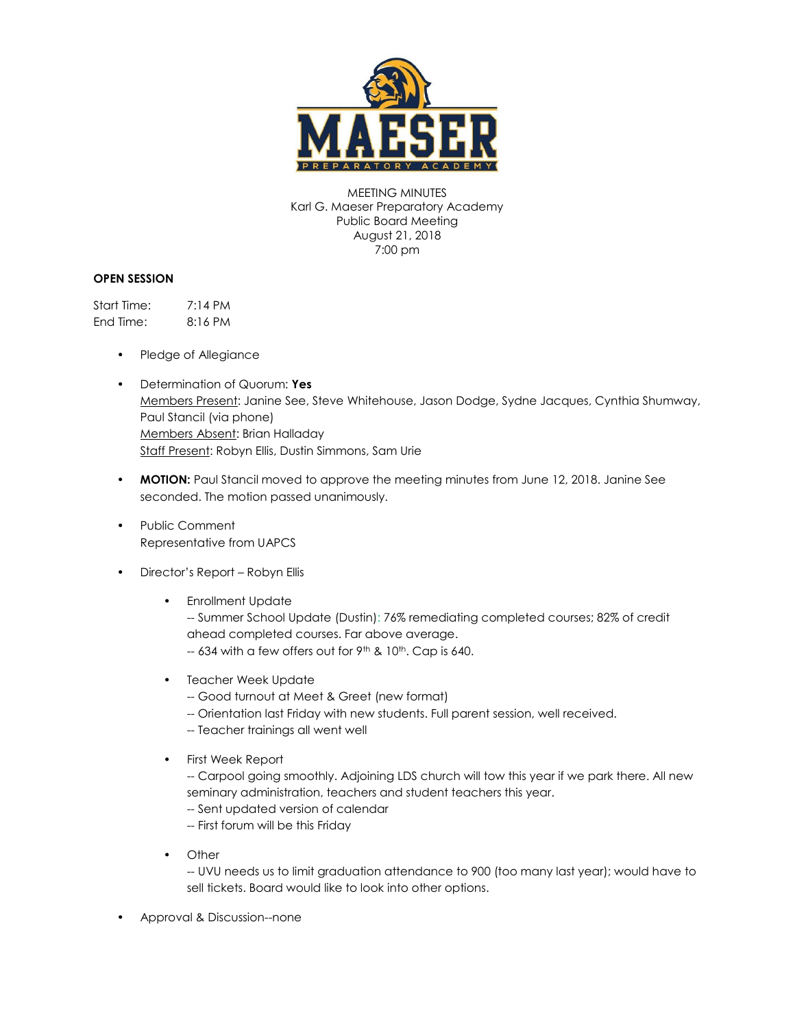

MEETING MINUTES Karl G. Maeser Preparatory Academy Public Board Meeting August 21, 2018 7:00 pm

## **OPEN SESSION**

Start Time: 7:14 PM End Time: 8:16 PM

- Pledge of Allegiance
- Determination of Quorum: **Yes** Members Present: Janine See, Steve Whitehouse, Jason Dodge, Sydne Jacques, Cynthia Shumway, Paul Stancil (via phone) Members Absent: Brian Halladay Staff Present: Robyn Ellis, Dustin Simmons, Sam Urie
- **MOTION:** Paul Stancil moved to approve the meeting minutes from June 12, 2018. Janine See seconded. The motion passed unanimously.
- Public Comment Representative from UAPCS
- Director's Report Robyn Ellis
	- Enrollment Update

-- Summer School Update (Dustin): 76% remediating completed courses; 82% of credit ahead completed courses. Far above average.  $-634$  with a few offers out for 9<sup>th</sup> & 10<sup>th</sup>. Cap is 640.

- Teacher Week Update
	- -- Good turnout at Meet & Greet (new format)
	- -- Orientation last Friday with new students. Full parent session, well received.
	- -- Teacher trainings all went well
- First Week Report

-- Carpool going smoothly. Adjoining LDS church will tow this year if we park there. All new seminary administration, teachers and student teachers this year.

- -- Sent updated version of calendar
- -- First forum will be this Friday
- Other

-- UVU needs us to limit graduation attendance to 900 (too many last year); would have to sell tickets. Board would like to look into other options.

• Approval & Discussion--none